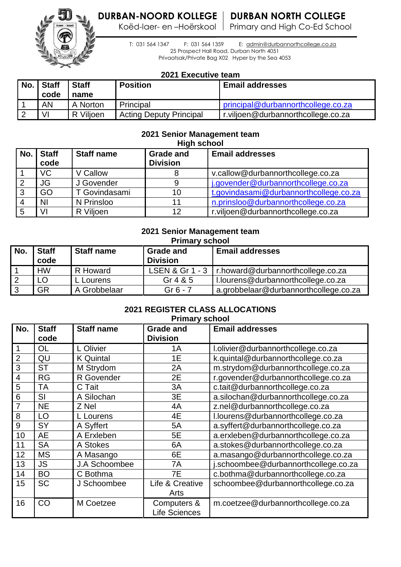Koëd-laer- en -Hoërskool | Primary and High Co-Ed School





 T: 031 564 1347 F: 031 564 1359 E: [admin@durbannorthcollege.co.za](mailto:admin@durbannorthcollege.co.za) 25 Prospect Hall Road, Durban North 4051 Privaatsak/Private Bag X02 Hyper by the Sea 4053

## **2021 Executive team**

| No. | <b>Staff</b> | <b>Staff</b> | <b>Position</b>                | <b>Email addresses</b>             |
|-----|--------------|--------------|--------------------------------|------------------------------------|
|     | code         | name         |                                |                                    |
|     | AN           | A Norton     | Principal                      | principal@durbannorthcollege.co.za |
|     | VI           | R Vilioen    | <b>Acting Deputy Principal</b> | r.viljoen@durbannorthcollege.co.za |

# **2021 Senior Management team**

|     | <b>High school</b>   |                   |                                     |                                        |  |
|-----|----------------------|-------------------|-------------------------------------|----------------------------------------|--|
| No. | <b>Staff</b><br>code | <b>Staff name</b> | <b>Grade and</b><br><b>Division</b> | <b>Email addresses</b>                 |  |
|     | <b>VC</b>            | V Callow          | 8                                   | v.callow@durbannorthcollege.co.za      |  |
|     | JG                   | J Govender        | 9                                   | j.govender@durbannorthcollege.co.za    |  |
|     | GO                   | T Govindasami     | 10                                  | t.govindasami@durbannorthcollege.co.za |  |
|     | <b>NI</b>            | N Prinsloo        | 11                                  | n.prinsloo@durbannorthcollege.co.za    |  |
|     | VI                   | R Viljoen         | 12                                  | r.viljoen@durbannorthcollege.co.za     |  |

#### **2021 Senior Management team Primary school**

|     | .<br>-------         |                   |                                     |                                       |  |
|-----|----------------------|-------------------|-------------------------------------|---------------------------------------|--|
| No. | <b>Staff</b><br>code | <b>Staff name</b> | <b>Grade and</b><br><b>Division</b> | <b>Email addresses</b>                |  |
|     | <b>HW</b>            | R Howard          | LSEN & Gr 1 - 3                     | r.howard@durbannorthcollege.co.za     |  |
|     | LO                   | L Lourens         | Gr $485$                            | I.lourens@durbannorthcollege.co.za    |  |
|     | <b>GR</b>            | A Grobbelaar      | $Gr 6 - 7$                          | a.grobbelaar@durbannorthcollege.co.za |  |

## **2021 REGISTER CLASS ALLOCATIONS Primary school**

| No.            | <b>Staff</b><br>code | <b>Staff name</b> | <b>Grade and</b><br><b>Division</b> | <b>Email addresses</b>               |
|----------------|----------------------|-------------------|-------------------------------------|--------------------------------------|
|                | <b>OL</b>            |                   | 1A                                  |                                      |
| 1              |                      | L Olivier         |                                     | I.olivier@durbannorthcollege.co.za   |
| $\overline{2}$ | QU                   | <b>K</b> Quintal  | 1E                                  | k.quintal@durbannorthcollege.co.za   |
| 3              | <b>ST</b>            | M Strydom         | 2A                                  | m.strydom@durbannorthcollege.co.za   |
| $\overline{4}$ | <b>RG</b>            | R Govender        | 2E                                  | r.govender@durbannorthcollege.co.za  |
| 5              | ТA                   | C Tait            | 3A                                  | c.tait@durbannorthcollege.co.za      |
| 6              | SI                   | A Silochan        | 3E                                  | a.silochan@durbannorthcollege.co.za  |
| 7              | <b>NE</b>            | Z Nel             | 4A                                  | z.nel@durbannorthcollege.co.za       |
| 8              | LO                   | L Lourens         | 4E                                  | I.lourens@durbannorthcollege.co.za   |
| 9              | SY                   | A Syffert         | 5A                                  | a.syffert@durbannorthcollege.co.za   |
| 10             | <b>AE</b>            | A Erxleben        | 5E                                  | a.erxleben@durbannorthcollege.co.za  |
| 11             | <b>SA</b>            | A Stokes          | 6A                                  | a.stokes@durbannorthcollege.co.za    |
| 12             | ΜS                   | A Masango         | 6E                                  | a.masango@durbannorthcollege.co.za   |
| 13             | <b>JS</b>            | J.A Schoombee     | 7A                                  | j.schoombee@durbannorthcollege.co.za |
| 14             | <b>BO</b>            | C Bothma          | 7E                                  | c.bothma@durbannorthcollege.co.za    |
| 15             | SC                   | J Schoombee       | Life & Creative                     | schoombee@durbannorthcollege.co.za   |
|                |                      |                   | Arts                                |                                      |
| 16             | CO                   | M Coetzee         | Computers &                         | m.coetzee@durbannorthcollege.co.za   |
|                |                      |                   | <b>Life Sciences</b>                |                                      |